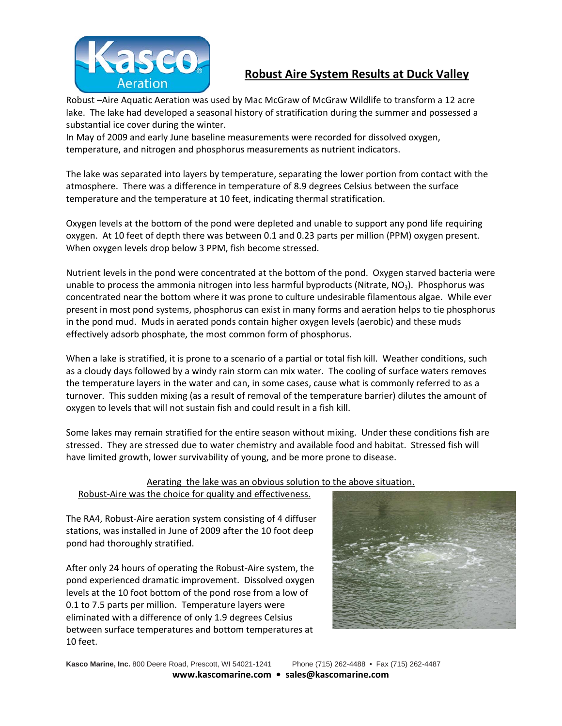

## **Robust Aire System Results at Duck Valley**

Robust –Aire Aquatic Aeration was used by Mac McGraw of McGraw Wildlife to transform a 12 acre lake. The lake had developed a seasonal history of stratification during the summer and possessed a substantial ice cover during the winter.

In May of 2009 and early June baseline measurements were recorded for dissolved oxygen, temperature, and nitrogen and phosphorus measurements as nutrient indicators.

The lake was separated into layers by temperature, separating the lower portion from contact with the atmosphere. There was a difference in temperature of 8.9 degrees Celsius between the surface temperature and the temperature at 10 feet, indicating thermal stratification.

Oxygen levels at the bottom of the pond were depleted and unable to support any pond life requiring oxygen. At 10 feet of depth there was between 0.1 and 0.23 parts per million (PPM) oxygen present. When oxygen levels drop below 3 PPM, fish become stressed.

Nutrient levels in the pond were concentrated at the bottom of the pond. Oxygen starved bacteria were unable to process the ammonia nitrogen into less harmful byproducts (Nitrate,  $NO<sub>3</sub>$ ). Phosphorus was concentrated near the bottom where it was prone to culture undesirable filamentous algae. While ever present in most pond systems, phosphorus can exist in many forms and aeration helps to tie phosphorus in the pond mud. Muds in aerated ponds contain higher oxygen levels (aerobic) and these muds effectively adsorb phosphate, the most common form of phosphorus.

When a lake is stratified, it is prone to a scenario of a partial or total fish kill. Weather conditions, such as a cloudy days followed by a windy rain storm can mix water. The cooling of surface waters removes the temperature layers in the water and can, in some cases, cause what is commonly referred to as a turnover. This sudden mixing (as a result of removal of the temperature barrier) dilutes the amount of oxygen to levels that will not sustain fish and could result in a fish kill.

Some lakes may remain stratified for the entire season without mixing. Under these conditions fish are stressed. They are stressed due to water chemistry and available food and habitat. Stressed fish will have limited growth, lower survivability of young, and be more prone to disease.

Aerating the lake was an obvious solution to the above situation.

Robust-Aire was the choice for quality and effectiveness.

The RA4, Robust-Aire aeration system consisting of 4 diffuser stations, was installed in June of 2009 after the 10 foot deep pond had thoroughly stratified.

After only 24 hours of operating the Robust-Aire system, the pond experienced dramatic improvement. Dissolved oxygen levels at the 10 foot bottom of the pond rose from a low of 0.1 to 7.5 parts per million. Temperature layers were eliminated with a difference of only 1.9 degrees Celsius between surface temperatures and bottom temperatures at 10 feet.